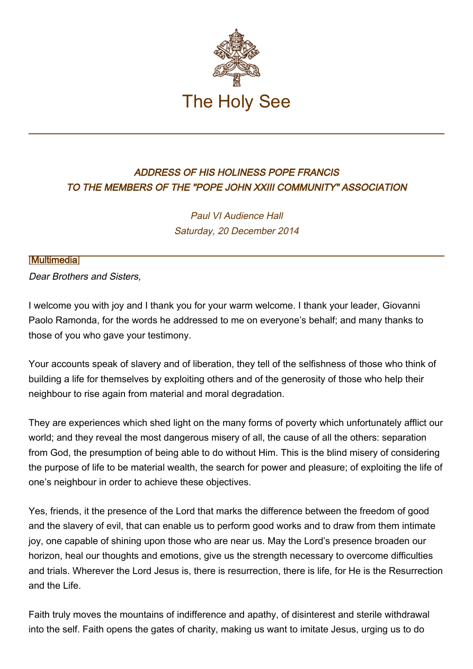

## ADDRESS OF HIS HOLINESS POPE FRANCIS TO THE MEMBERS OF THE "POPE JOHN XXIII COMMUNITY" ASSOCIATION

Paul VI Audience Hall Saturday, 20 December 2014

## [\[Multimedia](http://w2.vatican.va/content/francesco/en/events/event.dir.html/content/vaticanevents/en/2014/12/20/giovannixxiii.html)]

Dear Brothers and Sisters,

I welcome you with joy and I thank you for your warm welcome. I thank your leader, Giovanni Paolo Ramonda, for the words he addressed to me on everyone's behalf; and many thanks to those of you who gave your testimony.

Your accounts speak of slavery and of liberation, they tell of the selfishness of those who think of building a life for themselves by exploiting others and of the generosity of those who help their neighbour to rise again from material and moral degradation.

They are experiences which shed light on the many forms of poverty which unfortunately afflict our world; and they reveal the most dangerous misery of all, the cause of all the others: separation from God, the presumption of being able to do without Him. This is the blind misery of considering the purpose of life to be material wealth, the search for power and pleasure; of exploiting the life of one's neighbour in order to achieve these objectives.

Yes, friends, it the presence of the Lord that marks the difference between the freedom of good and the slavery of evil, that can enable us to perform good works and to draw from them intimate joy, one capable of shining upon those who are near us. May the Lord's presence broaden our horizon, heal our thoughts and emotions, give us the strength necessary to overcome difficulties and trials. Wherever the Lord Jesus is, there is resurrection, there is life, for He is the Resurrection and the Life.

Faith truly moves the mountains of indifference and apathy, of disinterest and sterile withdrawal into the self. Faith opens the gates of charity, making us want to imitate Jesus, urging us to do